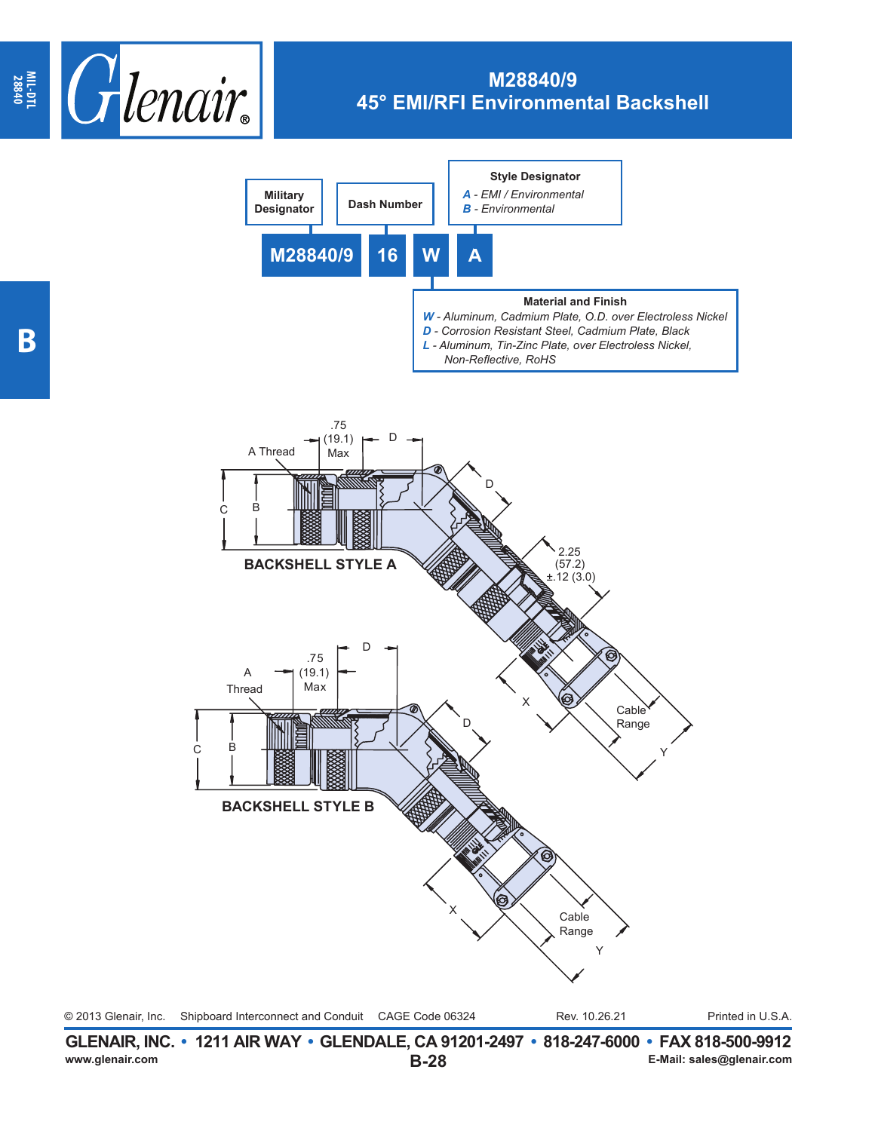



**B-28 GLENAIR, INC. • 1211 AIR WAY • GLENDALE, CA 91201-2497 • 818-247-6000 • FAX 818-500-9912**<br>E-Mail: sales@glenair.com **www.glenair.com E-Mail: sales@glenair.com**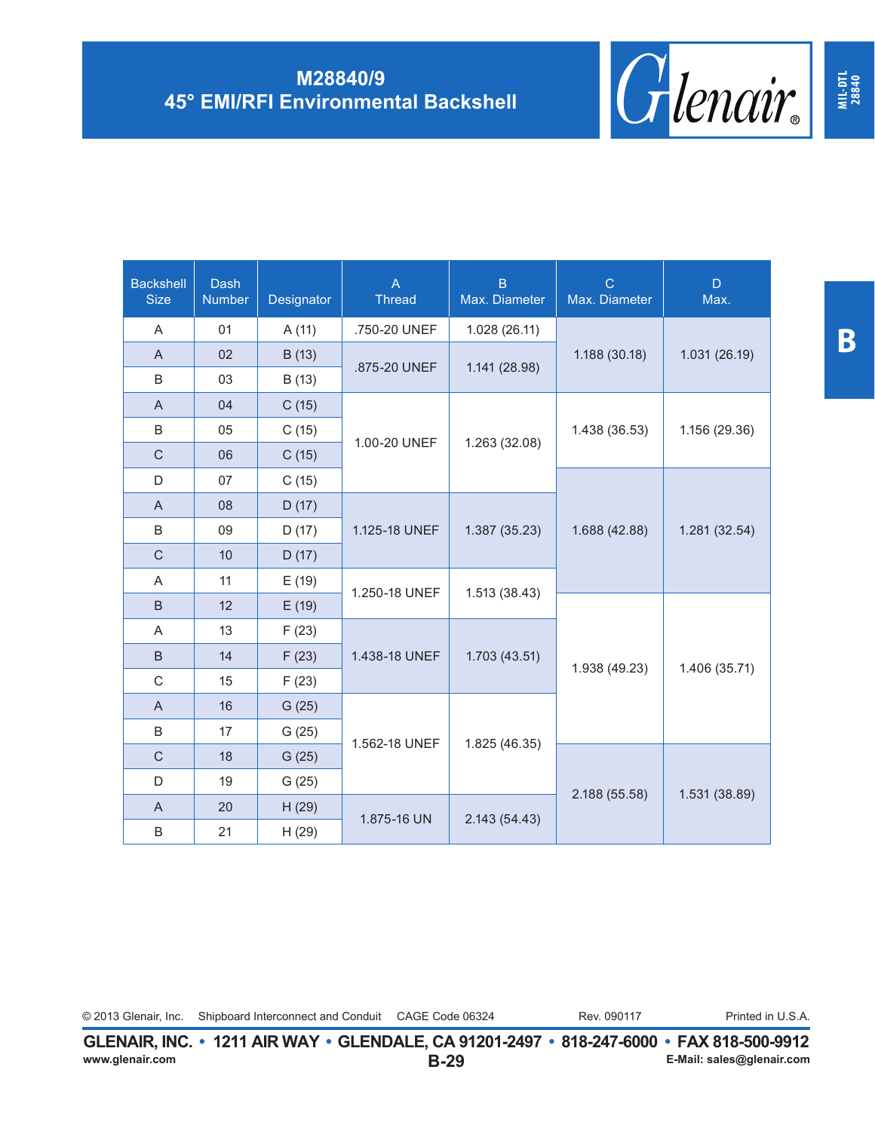| <b>Backshell</b><br><b>Size</b> | <b>Dash</b><br><b>Number</b> | Designator | $\overline{A}$<br><b>Thread</b> | $\overline{B}$<br>Max. Diameter | $\mathbf C$<br>Max. Diameter | D<br>Max.                      |
|---------------------------------|------------------------------|------------|---------------------------------|---------------------------------|------------------------------|--------------------------------|
| A                               | 01                           | A(11)      | .750-20 UNEF                    | 1.028(26.11)                    |                              |                                |
| $\mathsf{A}$                    | 02                           | B (13)     | .875-20 UNEF                    |                                 | 1.188 (30.18)                | 1.031 (26.19)                  |
| B                               | 03                           | B (13)     |                                 | 1.141 (28.98)                   |                              |                                |
| $\overline{A}$                  | 04                           | C(15)      |                                 | 1.263 (32.08)                   | 1.438 (36.53)                | 1.156 (29.36)                  |
| B                               | 05                           | C(15)      | 1.00-20 UNEF                    |                                 |                              |                                |
| $\mathsf{C}$                    | 06                           | C(15)      |                                 |                                 |                              |                                |
| D                               | 07                           | C(15)      |                                 |                                 |                              |                                |
| $\overline{A}$                  | 08                           | D(17)      |                                 |                                 |                              |                                |
| B                               | 09                           | D(17)      | 1.125-18 UNEF                   | 1.387 (35.23)<br>1.513(38.43)   | 1.688 (42.88)                | 1.281 (32.54)                  |
| $\mathsf{C}$                    | 10                           | D(17)      |                                 |                                 |                              |                                |
| Α                               | 11                           | E(19)      | 1.250-18 UNEF                   |                                 |                              |                                |
| $\sf B$                         | 12                           | E(19)      |                                 |                                 |                              |                                |
| A                               | 13                           | F(23)      |                                 | 1.703 (43.51)                   | 1.938 (49.23)                | 1.406 (35.71)<br>1.531 (38.89) |
| B                               | 14                           | F(23)      | 1.438-18 UNEF                   |                                 |                              |                                |
| C                               | 15                           | F(23)      |                                 |                                 |                              |                                |
| $\overline{A}$                  | 16                           | G(25)      |                                 | 1.825 (46.35)                   |                              |                                |
| B                               | 17                           | G(25)      | 1.562-18 UNEF                   |                                 |                              |                                |
| $\mathsf{C}$                    | 18                           | G(25)      |                                 |                                 | 2.188 (55.58)                |                                |
| D                               | 19                           | G(25)      |                                 |                                 |                              |                                |
| $\overline{A}$                  | 20                           | H(29)      | 1.875-16 UN                     |                                 |                              |                                |
| B                               | 21                           | H(29)      |                                 | 2.143 (54.43)                   |                              |                                |

**MIL-DTL 28840**

© 2013 Glenair, Inc. Shipboard Interconnect and Conduit CAGE Code 06324 Rev. 090117 Printed in U.S.A.

Rev. 090117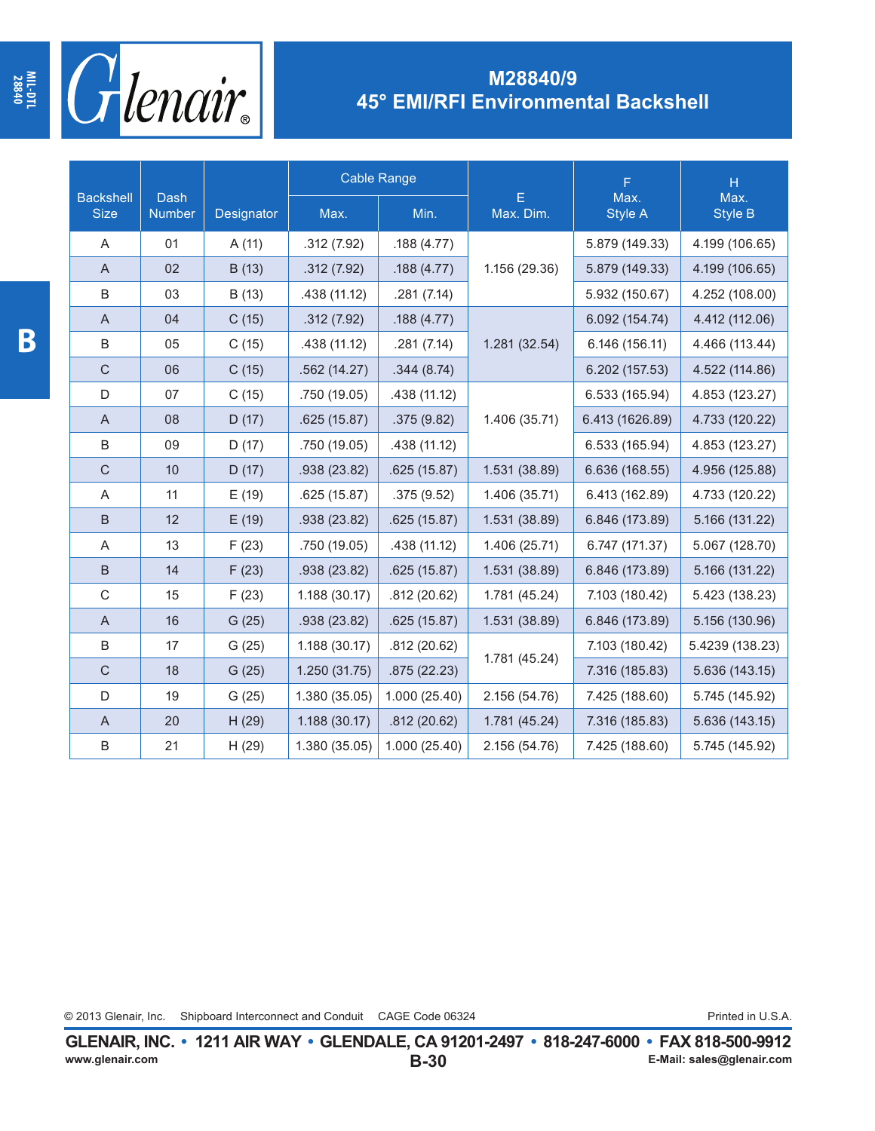

|                                 |                       |            |               | <b>Cable Range</b> |                | F               | $\overline{\mathsf{H}}$ |
|---------------------------------|-----------------------|------------|---------------|--------------------|----------------|-----------------|-------------------------|
| <b>Backshell</b><br><b>Size</b> | <b>Dash</b><br>Number | Designator | Max.          | Min.               | E<br>Max. Dim. | Max.<br>Style A | Max.<br><b>Style B</b>  |
| Α                               | 01                    | A (11)     | .312(7.92)    | .188 (4.77)        |                | 5.879 (149.33)  | 4.199 (106.65)          |
| $\boldsymbol{\mathsf{A}}$       | 02                    | B (13)     | .312(7.92)    | .188 (4.77)        | 1.156 (29.36)  | 5.879 (149.33)  | 4.199 (106.65)          |
| B                               | 03                    | B (13)     | .438 (11.12)  | .281(7.14)         |                | 5.932 (150.67)  | 4.252 (108.00)          |
| A                               | 04                    | C(15)      | .312(7.92)    | .188(4.77)         |                | 6.092 (154.74)  | 4.412 (112.06)          |
| B                               | 05                    | C(15)      | .438 (11.12)  | .281(7.14)         | 1.281 (32.54)  | 6.146 (156.11)  | 4.466 (113.44)          |
| $\mathsf C$                     | 06                    | C(15)      | .562(14.27)   | .344(8.74)         |                | 6.202 (157.53)  | 4.522 (114.86)          |
| D                               | 07                    | C(15)      | .750 (19.05)  | .438 (11.12)       |                | 6.533 (165.94)  | 4.853 (123.27)          |
| $\mathsf A$                     | 08                    | D(17)      | .625(15.87)   | .375(9.82)         | 1.406 (35.71)  | 6.413 (1626.89) | 4.733 (120.22)          |
| $\sf B$                         | 09                    | D(17)      | .750 (19.05)  | .438 (11.12)       |                | 6.533 (165.94)  | 4.853 (123.27)          |
| $\mathsf C$                     | 10                    | D(17)      | .938 (23.82)  | .625(15.87)        | 1.531 (38.89)  | 6.636 (168.55)  | 4.956 (125.88)          |
| A                               | 11                    | E(19)      | .625(15.87)   | .375(9.52)         | 1.406 (35.71)  | 6.413 (162.89)  | 4.733 (120.22)          |
| B                               | 12                    | E(19)      | .938 (23.82)  | .625(15.87)        | 1.531 (38.89)  | 6.846 (173.89)  | 5.166 (131.22)          |
| Α                               | 13                    | F(23)      | .750 (19.05)  | .438 (11.12)       | 1.406 (25.71)  | 6.747 (171.37)  | 5.067 (128.70)          |
| $\sf B$                         | 14                    | F(23)      | .938 (23.82)  | .625(15.87)        | 1.531 (38.89)  | 6.846 (173.89)  | 5.166 (131.22)          |
| $\mathsf C$                     | 15                    | F(23)      | 1.188 (30.17) | .812(20.62)        | 1.781 (45.24)  | 7.103 (180.42)  | 5.423 (138.23)          |
| $\mathsf A$                     | 16                    | G(25)      | .938 (23.82)  | .625(15.87)        | 1.531 (38.89)  | 6.846 (173.89)  | 5.156 (130.96)          |
| B                               | 17                    | G(25)      | 1.188(30.17)  | .812 (20.62)       |                | 7.103 (180.42)  | 5.4239 (138.23)         |
| $\mathbf C$                     | 18                    | G(25)      | 1.250(31.75)  | .875(22.23)        | 1.781 (45.24)  | 7.316 (185.83)  | 5.636 (143.15)          |
| D                               | 19                    | G(25)      | 1.380 (35.05) | 1.000 (25.40)      | 2.156 (54.76)  | 7.425 (188.60)  | 5.745 (145.92)          |
| A                               | 20                    | H (29)     | 1.188 (30.17) | .812(20.62)        | 1.781 (45.24)  | 7.316 (185.83)  | 5.636 (143.15)          |
| $\sf B$                         | 21                    | H (29)     | 1.380 (35.05) | 1.000(25.40)       | 2.156 (54.76)  | 7.425 (188.60)  | 5.745 (145.92)          |

© 2013 Glenair, Inc. Shipboard Interconnect and Conduit CAGE Code 06324 **Printed in U.S.A.** 

**MIL-DTL 28840**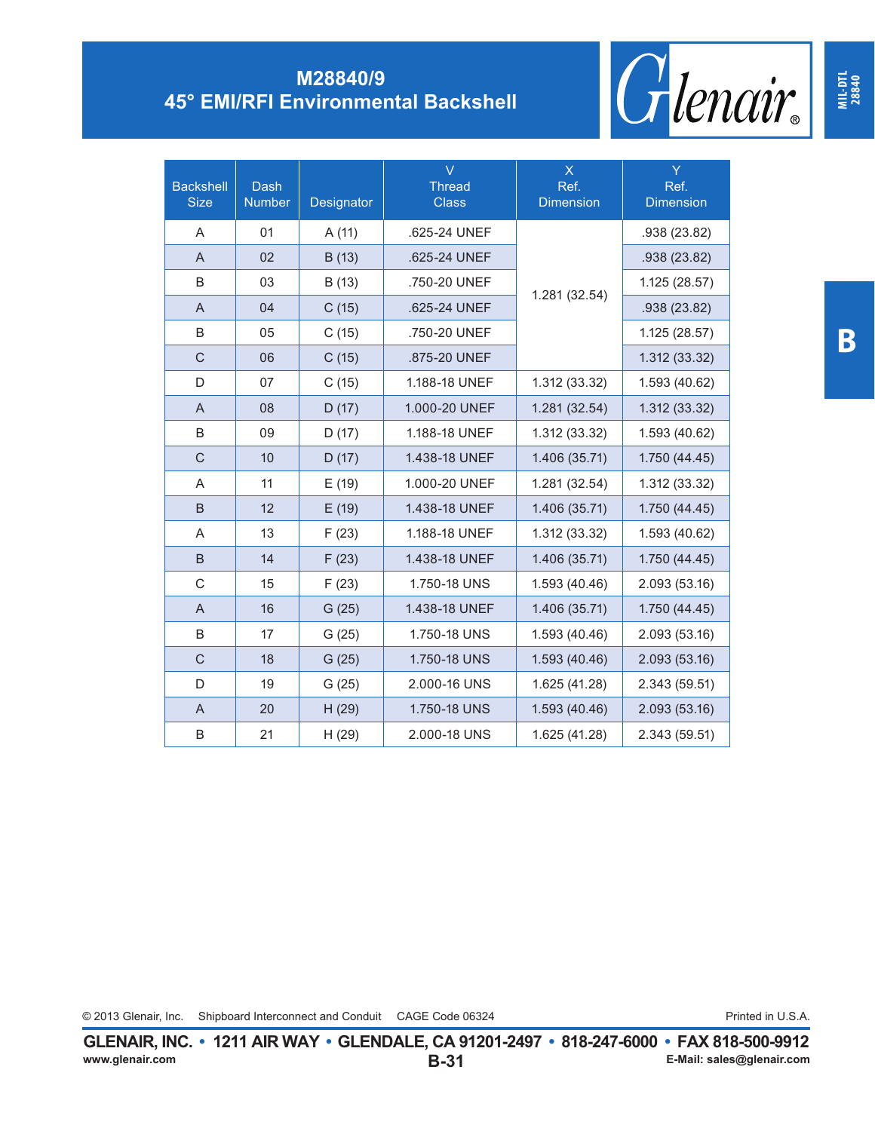

| <b>Backshell</b><br><b>Size</b> | Dash<br><b>Number</b> | Designator | $\overline{\vee}$<br><b>Thread</b><br><b>Class</b> | $\mathsf X$<br>Ref.<br><b>Dimension</b> | Ÿ<br>Ref.<br><b>Dimension</b> |
|---------------------------------|-----------------------|------------|----------------------------------------------------|-----------------------------------------|-------------------------------|
| A                               | 01                    | A(11)      | .625-24 UNEF                                       |                                         | .938 (23.82)                  |
| A                               | 02                    | B(13)      | .625-24 UNEF                                       |                                         | .938 (23.82)                  |
| B                               | 03                    | B (13)     | .750-20 UNEF                                       |                                         | 1.125 (28.57)                 |
| A                               | 04                    | C(15)      | .625-24 UNEF                                       | 1.281 (32.54)                           | .938 (23.82)                  |
| B                               | 05                    | C(15)      | .750-20 UNEF                                       |                                         | 1.125 (28.57)                 |
| $\mathsf C$                     | 06                    | C(15)      | .875-20 UNEF                                       |                                         | 1.312 (33.32)                 |
| D                               | 07                    | C(15)      | 1.188-18 UNEF                                      | 1.312 (33.32)                           | 1.593 (40.62)                 |
| $\overline{A}$                  | 08                    | D(17)      | 1.000-20 UNEF                                      | 1.281 (32.54)                           | 1.312 (33.32)                 |
| B                               | 09                    | D(17)      | 1.188-18 UNEF                                      | 1.312 (33.32)                           | 1.593 (40.62)                 |
| $\mathsf C$                     | 10                    | D(17)      | 1.438-18 UNEF                                      | 1.406 (35.71)                           | 1.750 (44.45)                 |
| A                               | 11                    | E(19)      | 1.000-20 UNEF                                      | 1.281 (32.54)                           | 1.312 (33.32)                 |
| B                               | 12                    | E(19)      | 1.438-18 UNEF                                      | 1.406 (35.71)                           | 1.750 (44.45)                 |
| A                               | 13                    | F(23)      | 1.188-18 UNEF                                      | 1.312 (33.32)                           | 1.593 (40.62)                 |
| B                               | 14                    | F(23)      | 1.438-18 UNEF                                      | 1.406 (35.71)                           | 1.750 (44.45)                 |
| C                               | 15                    | F(23)      | 1.750-18 UNS                                       | 1.593 (40.46)                           | 2.093 (53.16)                 |
| A                               | 16                    | G(25)      | 1.438-18 UNEF                                      | 1.406 (35.71)                           | 1.750 (44.45)                 |
| B                               | 17                    | G(25)      | 1.750-18 UNS                                       | 1.593 (40.46)                           | 2.093 (53.16)                 |
| $\mathsf{C}$                    | 18                    | G(25)      | 1.750-18 UNS                                       | 1.593 (40.46)                           | 2.093 (53.16)                 |
| D                               | 19                    | G(25)      | 2.000-16 UNS                                       | 1.625 (41.28)                           | 2.343 (59.51)                 |
| A                               | 20                    | H(29)      | 1.750-18 UNS                                       | 1.593 (40.46)                           | 2.093 (53.16)                 |
| B                               | 21                    | H(29)      | 2.000-18 UNS                                       | 1.625 (41.28)                           | 2.343 (59.51)                 |

**B**

**MIL-DTL 28840**

© 2013 Glenair, Inc. Shipboard Interconnect and Conduit CAGE Code 06324 **Conduit CAGE Conduit CAGE Conduit** CAGE Conduit CAGE Code 06324 **Conduit CAGE Conduit CAGE Code 06324** Conduit CAGE Code 06324 **Conduit CAGE Code 063**